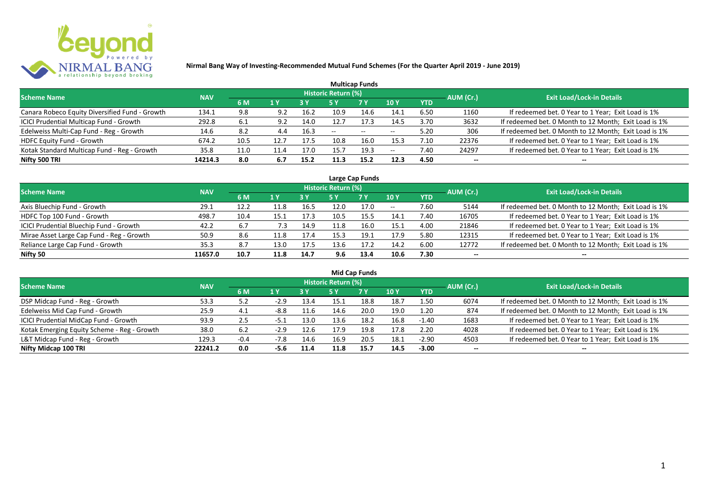

| <b>Multicap Funds</b>                          |            |      |      |           |                            |            |                          |            |           |                                                       |  |  |  |  |
|------------------------------------------------|------------|------|------|-----------|----------------------------|------------|--------------------------|------------|-----------|-------------------------------------------------------|--|--|--|--|
| <b>Scheme Name</b>                             | <b>NAV</b> |      |      |           | <b>Historic Return (%)</b> |            |                          |            | AUM (Cr.) | <b>Exit Load/Lock-in Details</b>                      |  |  |  |  |
|                                                |            | 6 M  | 1 Y  | <b>3Y</b> |                            | <b>7 Y</b> | <b>10Y</b>               | <b>YTD</b> |           |                                                       |  |  |  |  |
| Canara Robeco Equity Diversified Fund - Growth | 134.1      | 9.8  | 9.2  | 16.2      | 10.9                       | 14.6       | 14.1                     | 6.50       | 1160      | If redeemed bet. 0 Year to 1 Year; Exit Load is 1%    |  |  |  |  |
| ICICI Prudential Multicap Fund - Growth        | 292.8      | 6.1  | 9.2  | 14.0      | 12.7                       | 17.3       | 14.5                     | 3.70       | 3632      | If redeemed bet. 0 Month to 12 Month; Exit Load is 1% |  |  |  |  |
| Edelweiss Multi-Cap Fund - Reg - Growth        | 14.6       | 8.2  | 4.4  | 16.3      | $- -$                      | $- -$      | $\overline{\phantom{a}}$ | 5.20       | 306       | If redeemed bet. 0 Month to 12 Month; Exit Load is 1% |  |  |  |  |
| HDFC Equity Fund - Growth                      | 674.2      | 10.5 | 12.7 | 17.5      | 10.8                       | 16.0       | 15.3                     | 7.10       | 22376     | If redeemed bet. 0 Year to 1 Year; Exit Load is 1%    |  |  |  |  |
| Kotak Standard Multicap Fund - Reg - Growth    | 35.8       | 11.0 | 11.4 | 17.C      | $15 -$                     | 19.3       | $-$                      | 7.40       | 24297     | If redeemed bet. 0 Year to 1 Year; Exit Load is 1%    |  |  |  |  |
| Nifty 500 TRI                                  | 14214.3    | 8.0  | 6.7  | 15.2      | 11.3                       | 15.2       | 12.3                     | 4.50       | $- -$     | --                                                    |  |  |  |  |

| Large Cap Funds                           |            |      |      |      |                     |           |       |            |           |                                                       |  |  |  |
|-------------------------------------------|------------|------|------|------|---------------------|-----------|-------|------------|-----------|-------------------------------------------------------|--|--|--|
| <b>Scheme Name</b>                        | <b>NAV</b> |      |      |      | Historic Return (%) |           |       |            | AUM (Cr.) | <b>Exit Load/Lock-in Details</b>                      |  |  |  |
|                                           |            | 6 M  | 1 Y  |      | 5 Y                 | <b>7Y</b> | 10Y   | <b>YTD</b> |           |                                                       |  |  |  |
| Axis Bluechip Fund - Growth               | 29.1       | 12.2 | 11.8 | 16.5 | 12.0                | 17.0      | $- -$ | 7.60       | 5144      | If redeemed bet. 0 Month to 12 Month; Exit Load is 1% |  |  |  |
| HDFC Top 100 Fund - Growth                | 498.7      | 10.4 | 15.1 | 17.3 | 10.5                | 15.5      | 14.1  | 7.40       | 16705     | If redeemed bet. 0 Year to 1 Year; Exit Load is 1%    |  |  |  |
| ICICI Prudential Bluechip Fund - Growth   | 42.2       | 6.7  | 7.3  | 14.9 | 11.8                | 16.0      | 15.1  | 4.00       | 21846     | If redeemed bet. 0 Year to 1 Year; Exit Load is 1%    |  |  |  |
| Mirae Asset Large Cap Fund - Reg - Growth | 50.9       | 8.6  | 11.8 | 17.4 | 15.3                | 19.1      | 17.9  | 5.80       | 12315     | If redeemed bet. 0 Year to 1 Year; Exit Load is 1%    |  |  |  |
| Reliance Large Cap Fund - Growth          | 35.3       | 8.7  | 13.0 | 17.5 | 13.6                | 17.2      | 14.2  | 6.00       | 12772     | If redeemed bet. 0 Month to 12 Month; Exit Load is 1% |  |  |  |
| Nifty 50                                  | 11657.0    | 10.7 | 11.8 | 14.7 | 9.6                 | 13.4      | 10.6  | 7.30       | $- -$     | --                                                    |  |  |  |

| <b>Mid Cap Funds</b>                        |            |        |        |      |                     |      |             |            |           |                                                       |  |  |  |
|---------------------------------------------|------------|--------|--------|------|---------------------|------|-------------|------------|-----------|-------------------------------------------------------|--|--|--|
| <b>Scheme Name</b>                          | <b>NAV</b> |        |        |      | Historic Return (%) |      |             |            | AUM (Cr.) | <b>Exit Load/Lock-in Details</b>                      |  |  |  |
|                                             |            | 6 M    | 1 Y    |      | 5 Y                 | 7 Y  | <b>10 Y</b> | <b>YTD</b> |           |                                                       |  |  |  |
| DSP Midcap Fund - Reg - Growth              | 53.3       | 5.2    | $-2.9$ | 13.4 | 15.1                | 18.8 | 18.7        | 1.50       | 6074      | If redeemed bet. 0 Month to 12 Month; Exit Load is 1% |  |  |  |
| Edelweiss Mid Cap Fund - Growth             | 25.9       | 4.1    | $-8.8$ | 11.6 | 14.6                | 20.0 | 19.0        | 1.20       | 874       | If redeemed bet. 0 Month to 12 Month; Exit Load is 1% |  |  |  |
| ICICI Prudential MidCap Fund - Growth       | 93.9       | 2.5    | ـ د5-  | 13.0 | 13.6                | 18.2 | 16.8        | $-1.40$    | 1683      | If redeemed bet. 0 Year to 1 Year; Exit Load is 1%    |  |  |  |
| Kotak Emerging Equity Scheme - Reg - Growth | 38.0       | 6.2    | $-2.9$ | 12.6 | 17.9                | 19.8 | 17.8        | 2.20       | 4028      | If redeemed bet. 0 Year to 1 Year; Exit Load is 1%    |  |  |  |
| L&T Midcap Fund - Reg - Growth              | 129.3      | $-0.4$ | $-7.8$ | 14.6 | 16.9                | 20.5 | 18.1        | $-2.90$    | 4503      | If redeemed bet. 0 Year to 1 Year; Exit Load is 1%    |  |  |  |
| Nifty Midcap 100 TRI                        | 22241.2    | 0.0    | -5.6   | 11.4 | 11.8                | 15.7 | 14.5        | $-3.00$    | --        | --                                                    |  |  |  |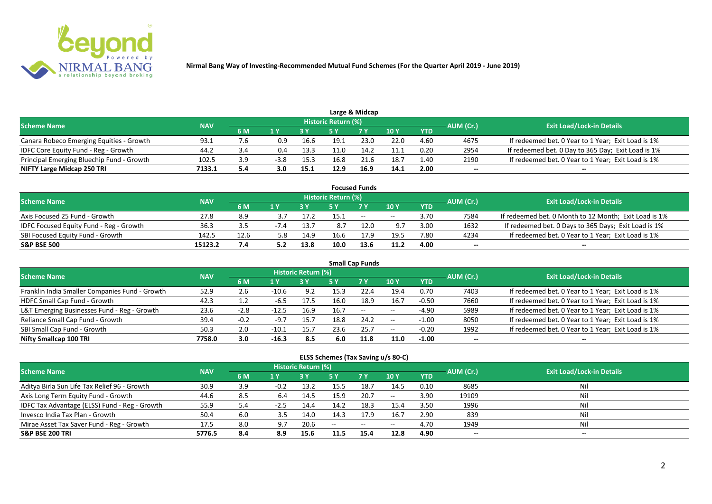

|                                           |            |     |        |      |                     | Large & Midcap |       |            |           |                                                    |
|-------------------------------------------|------------|-----|--------|------|---------------------|----------------|-------|------------|-----------|----------------------------------------------------|
| <b>Scheme Name</b>                        | <b>NAV</b> |     |        |      | Historic Return (%) |                |       |            | AUM (Cr.) | <b>Exit Load/Lock-in Details</b>                   |
|                                           |            | 6 M |        |      |                     | 7 Y            | 10 Y  | <b>YTD</b> |           |                                                    |
| Canara Robeco Emerging Equities - Growth  | 93.1       | 7.6 | 0.9    | 16.6 | 19.1                | 23.0           | 22.0  | 4.60       | 4675      | If redeemed bet. 0 Year to 1 Year; Exit Load is 1% |
| IDFC Core Equity Fund - Reg - Growth      | 44.2       |     | 0.4    | 13.3 | 11.0                | 14.2           | l 1.1 | 0.20       | 2954      | If redeemed bet. 0 Day to 365 Day; Exit Load is 1% |
| Principal Emerging Bluechip Fund - Growth | 102.5      | 3.9 | $-3.8$ | 15.3 | 16.8                | 21.6           | 18.7  | 1.40       | 2190      | If redeemed bet. 0 Year to 1 Year; Exit Load is 1% |
| NIFTY Large Midcap 250 TRI                | 7133.1     | 5.4 | 3.0    | 15.1 | 12.9                | 16.9           | 14.1  | 2.00       | --        | $- -$                                              |

|                                         |            |      |        |      |                     | <b>Focused Funds</b> |       |            |           |                                                       |
|-----------------------------------------|------------|------|--------|------|---------------------|----------------------|-------|------------|-----------|-------------------------------------------------------|
| <b>Scheme Name</b>                      | <b>NAV</b> |      |        |      | Historic Return (%) |                      |       |            | AUM (Cr.) | <b>Exit Load/Lock-in Details</b>                      |
|                                         |            | 6 M  | 1 V    |      |                     | 7 Y                  | 10Y   | <b>YTD</b> |           |                                                       |
| Axis Focused 25 Fund - Growth           | 27.8       | 8.9  |        |      | 15.1                | $-$                  | $- -$ | 3.70       | 7584      | If redeemed bet. 0 Month to 12 Month; Exit Load is 1% |
| IDFC Focused Equity Fund - Reg - Growth | 36.3       | 3.5  | $-7.4$ | 13.7 |                     | 12.0                 | 9.7   | 3.00       | 1632      | If redeemed bet. 0 Days to 365 Days; Exit Load is 1%  |
| SBI Focused Equity Fund - Growth        | 142.5      | 12.6 | 5.8    | 14.9 | 16.6                | 17.9                 | 19.5  | 7.80       | 4234      | If redeemed bet. 0 Year to 1 Year; Exit Load is 1%    |
| <b>S&amp;P BSE 500</b>                  | 15123.2    | 7.4  |        | 13.8 | 10.0                | 13.6                 | 11.2  | 4.00       | $- -$     | $\overline{\phantom{a}}$                              |

| <b>Small Cap Funds</b>                         |            |        |         |                     |      |           |       |            |           |                                                    |  |  |  |
|------------------------------------------------|------------|--------|---------|---------------------|------|-----------|-------|------------|-----------|----------------------------------------------------|--|--|--|
| <b>Scheme Name</b>                             | <b>NAV</b> |        |         | Historic Return (%) |      |           |       |            | AUM (Cr.) | <b>Exit Load/Lock-in Details</b>                   |  |  |  |
|                                                |            | 6 M    | 1 Y     |                     | 5 Y  | <b>7Y</b> | 10Y   | <b>YTD</b> |           |                                                    |  |  |  |
| Franklin India Smaller Companies Fund - Growth | 52.9       | 2.6    | $-10.6$ | 9.2                 | 15.3 | 22.4      | 19.4  | 0.70       | 7403      | If redeemed bet. 0 Year to 1 Year; Exit Load is 1% |  |  |  |
| HDFC Small Cap Fund - Growth                   | 42.3       | 1.2    | -6.5    | 17.5                | 16.0 | 18.9      | 16.7  | $-0.50$    | 7660      | If redeemed bet. 0 Year to 1 Year; Exit Load is 1% |  |  |  |
| L&T Emerging Businesses Fund - Reg - Growth    | 23.6       | $-2.8$ | $-12.5$ | 16.9                | 16.7 | $--$      | $- -$ | $-4.90$    | 5989      | If redeemed bet. 0 Year to 1 Year; Exit Load is 1% |  |  |  |
| Reliance Small Cap Fund - Growth               | 39.4       | $-0.2$ | $-9.7$  | 15.7                | 18.8 | 24.2      | $- -$ | $-1.00$    | 8050      | If redeemed bet. 0 Year to 1 Year; Exit Load is 1% |  |  |  |
| SBI Small Cap Fund - Growth                    | 50.3       | 2.0    | $-10.1$ | 15.7                | 23.6 | 25.7      | $- -$ | $-0.20$    | 1992      | If redeemed bet. 0 Year to 1 Year; Exit Load is 1% |  |  |  |
| Nifty Smallcap 100 TRI                         | 7758.0     | 3.0    | $-16.3$ | 8.5                 | 6.0  | 11.8      | 11.0  | $-1.00$    | --        |                                                    |  |  |  |

#### **ELSS Schemes (Tax Saving u/s 80-C)**

| Scheme Name                                   | <b>NAV</b> |     |        | <b>Historic Return (%)</b> |       |                                                |                 | AUM (Cr.)  | <b>Exit Load/Lock-in Details</b> |     |
|-----------------------------------------------|------------|-----|--------|----------------------------|-------|------------------------------------------------|-----------------|------------|----------------------------------|-----|
|                                               |            | 6 M | 1 Y    |                            | 5 Y   | <b>7 Y</b>                                     | 10 <sub>Y</sub> | <b>YTD</b> |                                  |     |
| Aditya Birla Sun Life Tax Relief 96 - Growth  | 30.9       | 3.9 | $-0.2$ | 13.2                       | 15.5  | 18.7                                           | 14.5            | 0.10       | 8685                             | Nil |
| Axis Long Term Equity Fund - Growth           | 44.6       | 8.5 | 6.4    | 14.5                       | 15.9  | 20.7                                           | $- -$           | 3.90       | 19109                            | Nil |
| IDFC Tax Advantage (ELSS) Fund - Reg - Growth | 55.9       | 5.4 | $-2.5$ | 14.4                       | 14.2  | 18.3                                           | 15.4            | 3.50       | 1996                             | Nil |
| Invesco India Tax Plan - Growth               | 50.4       | 6.0 | 3.5    | 14.0                       | 14.3  | 17.9                                           | 16.7            | 2.90       | 839                              | Nil |
| Mirae Asset Tax Saver Fund - Reg - Growth     | 17.5       | 8.0 | 9.7    | 20.6                       | $- -$ | $\hspace{0.1mm}-\hspace{0.1mm}-\hspace{0.1mm}$ | $- -$           | 4.70       | 1949                             | Nil |
| <b>S&amp;P BSE 200 TRI</b>                    | 5776.5     | 8.4 | 8.9    | 15.6                       |       | 15.4                                           | 12.8            | 4.90       | $\overline{\phantom{a}}$         | $-$ |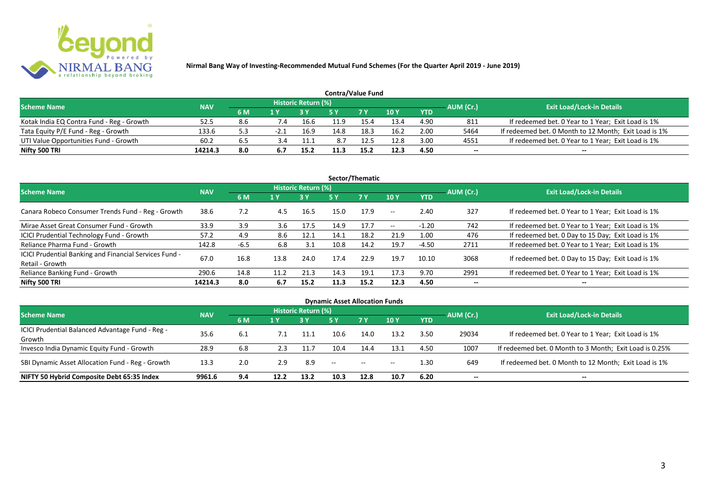

| <b>Contra/Value Fund</b>                  |            |     |      |                     |      |            |      |            |           |                                                       |  |  |  |
|-------------------------------------------|------------|-----|------|---------------------|------|------------|------|------------|-----------|-------------------------------------------------------|--|--|--|
| <b>Scheme Name</b>                        | <b>NAV</b> |     |      | Historic Return (%) |      |            |      |            | AUM (Cr.) | <b>Exit Load/Lock-in Details</b>                      |  |  |  |
|                                           |            | 6 M |      |                     |      | <b>7 Y</b> | 10Y  | <b>YTD</b> |           |                                                       |  |  |  |
| Kotak India EQ Contra Fund - Reg - Growth | 52.5       |     | 7.4  | 16.6                |      | 15.4       | 13.4 | 4.90       | 811       | If redeemed bet. 0 Year to 1 Year; Exit Load is 1%    |  |  |  |
| Tata Equity P/E Fund - Reg - Growth       | 133.6      | 5.3 | -2.1 | 16.9                | 14.8 | 18.3       | 16.2 | 2.00       | 5464      | If redeemed bet. 0 Month to 12 Month; Exit Load is 1% |  |  |  |
| UTI Value Opportunities Fund - Growth     | 60.2       | 6.5 |      | 11.1                | 8.7  | 12.5       | 12.8 | 3.00       | 4551      | If redeemed bet. 0 Year to 1 Year; Exit Load is 1%    |  |  |  |
| Nifty 500 TRI                             | 14214.3    | 8.0 |      | 15.2                | 11.3 | 15.2       | 12.3 | 4.50       | --        | $- -$                                                 |  |  |  |

| Sector/Thematic                                                           |            |        |      |                            |      |           |                          |            |           |                                                    |  |  |  |
|---------------------------------------------------------------------------|------------|--------|------|----------------------------|------|-----------|--------------------------|------------|-----------|----------------------------------------------------|--|--|--|
| <b>Scheme Name</b>                                                        | <b>NAV</b> |        |      | <b>Historic Return (%)</b> |      |           |                          |            | AUM (Cr.) | <b>Exit Load/Lock-in Details</b>                   |  |  |  |
|                                                                           |            | 6 M    | 1 Y  | <b>3 Y</b>                 | 5 Y  | <b>7Y</b> | <b>10Y</b>               | <b>YTD</b> |           |                                                    |  |  |  |
| Canara Robeco Consumer Trends Fund - Reg - Growth                         | 38.6       | 7.2    | 4.5  | 16.5                       | 15.0 | 17.9      | $\sim$ $-$               | 2.40       | 327       | If redeemed bet. 0 Year to 1 Year; Exit Load is 1% |  |  |  |
| Mirae Asset Great Consumer Fund - Growth                                  | 33.9       | 3.9    | 3.6  | 17.5                       | 14.9 | 17.7      | $\overline{\phantom{a}}$ | $-1.20$    | 742       | If redeemed bet. 0 Year to 1 Year; Exit Load is 1% |  |  |  |
| <b>ICICI Prudential Technology Fund - Growth</b>                          | 57.2       | 4.9    | 8.6  | 12.1                       | 14.1 | 18.2      | 21.9                     | 1.00       | 476       | If redeemed bet. 0 Day to 15 Day; Exit Load is 1%  |  |  |  |
| Reliance Pharma Fund - Growth                                             | 142.8      | $-6.5$ | 6.8  | 3.1                        | 10.8 | 14.2      | 19.7                     | $-4.50$    | 2711      | If redeemed bet. 0 Year to 1 Year; Exit Load is 1% |  |  |  |
| ICICI Prudential Banking and Financial Services Fund -<br>Retail - Growth | 67.0       | 16.8   | 13.8 | 24.0                       | 17.4 | 22.9      | 19.7                     | 10.10      | 3068      | If redeemed bet. 0 Day to 15 Day; Exit Load is 1%  |  |  |  |
| Reliance Banking Fund - Growth                                            | 290.6      | 14.8   | 11.2 | 21.3                       | 14.3 | 19.1      | 17.3                     | 9.70       | 2991      | If redeemed bet. 0 Year to 1 Year; Exit Load is 1% |  |  |  |
| Nifty 500 TRI                                                             | 14214.3    | 8.0    | 6.7  | 15.2                       | 11.3 | 15.2      | 12.3                     | 4.50       | $- -$     | $\overline{\phantom{a}}$                           |  |  |  |

| <b>Dynamic Asset Allocation Funds</b>            |            |     |      |                            |                          |           |                          |            |           |                                                         |  |  |  |
|--------------------------------------------------|------------|-----|------|----------------------------|--------------------------|-----------|--------------------------|------------|-----------|---------------------------------------------------------|--|--|--|
| <b>Scheme Name</b>                               | <b>NAV</b> |     |      | <b>Historic Return (%)</b> |                          |           |                          |            |           | <b>Exit Load/Lock-in Details</b>                        |  |  |  |
|                                                  |            | 6 M | 1 Y  |                            | <b>5 Y</b>               | <b>7Y</b> | <b>10Y</b>               | <b>YTD</b> | AUM (Cr.) |                                                         |  |  |  |
| ICICI Prudential Balanced Advantage Fund - Reg - |            |     |      |                            |                          |           |                          |            |           |                                                         |  |  |  |
| Growth                                           | 35.6       | 6.1 |      | 11.1                       | 10.6                     | 14.0      | 13.2                     | 3.50       | 29034     | If redeemed bet. 0 Year to 1 Year; Exit Load is 1%      |  |  |  |
| Invesco India Dynamic Equity Fund - Growth       | 28.9       | 6.8 | 2.3  | 11.7                       | 10.4                     | 14.4      | 13.1                     | 4.50       | 1007      | If redeemed bet. 0 Month to 3 Month; Exit Load is 0.25% |  |  |  |
| SBI Dynamic Asset Allocation Fund - Reg - Growth | 13.3       | 2.0 | 2.9  | 8.9                        | $\overline{\phantom{a}}$ | $\sim$    | $\overline{\phantom{a}}$ | 1.30       | 649       | If redeemed bet. 0 Month to 12 Month; Exit Load is 1%   |  |  |  |
| NIFTY 50 Hybrid Composite Debt 65:35 Index       | 9961.6     | 9.4 | 12.2 | 13.2                       | 10.3                     | 12.8      | 10.7                     | 6.20       | --        | --                                                      |  |  |  |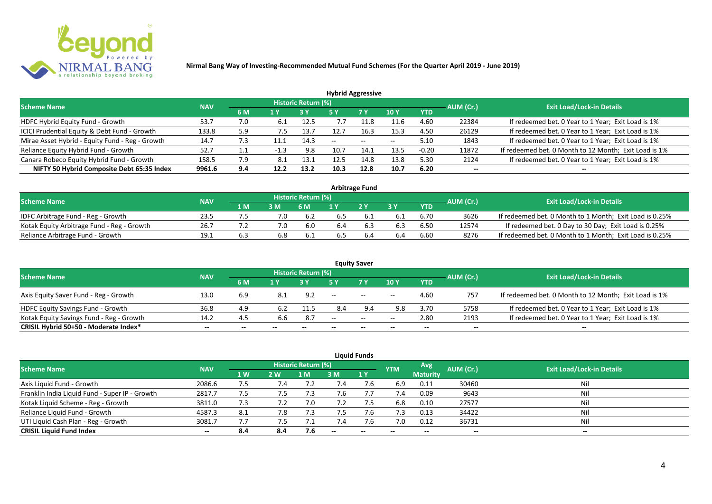

| <b>Hybrid Aggressive</b>                        |            |         |        |                            |      |           |                 |            |           |                                                       |  |  |  |
|-------------------------------------------------|------------|---------|--------|----------------------------|------|-----------|-----------------|------------|-----------|-------------------------------------------------------|--|--|--|
| <b>Scheme Name</b>                              | <b>NAV</b> |         |        | <b>Historic Return (%)</b> |      |           |                 |            | AUM (Cr.) | <b>Exit Load/Lock-in Details</b>                      |  |  |  |
|                                                 |            | 6 M     | 1 Y    |                            | 5 Y  | <b>7Y</b> | 10 <sub>Y</sub> | <b>YTD</b> |           |                                                       |  |  |  |
| HDFC Hybrid Equity Fund - Growth                | 53.7       | 7.0     | -6.1   | 12.5                       |      | .1.8      | 11.6            | 4.60       | 22384     | If redeemed bet. 0 Year to 1 Year; Exit Load is 1%    |  |  |  |
| ICICI Prudential Equity & Debt Fund - Growth    | 133.8      | 5.9     | 7.5    | 13.7                       |      | 16.3      | 15.3            | 4.50       | 26129     | If redeemed bet. 0 Year to 1 Year; Exit Load is 1%    |  |  |  |
| Mirae Asset Hybrid - Equity Fund - Reg - Growth | 14.7       | 7.3     | 11.1   | 14.3                       | $-$  | $- -$     | $-$             | 5.10       | 1843      | If redeemed bet. 0 Year to 1 Year; Exit Load is 1%    |  |  |  |
| Reliance Equity Hybrid Fund - Growth            | 52.7       | $1.1\,$ | $-1.3$ | 9.8                        | 10.7 | 14.1      | 13.5            | $-0.20$    | 11872     | If redeemed bet. 0 Month to 12 Month; Exit Load is 1% |  |  |  |
| Canara Robeco Equity Hybrid Fund - Growth       | 158.5      | 7.9     | 8.1    | 13.1                       | 12.5 | 14.8      | 13.8            | 5.30       | 2124      | If redeemed bet. 0 Year to 1 Year; Exit Load is 1%    |  |  |  |
| NIFTY 50 Hybrid Composite Debt 65:35 Index      | 9961.6     | 9.4     | 12.2   | 13.2                       | 10.3 | 12.8      | 10.7            | 6.20       | $- -$     | $- -$                                                 |  |  |  |

| <b>Arbitrage Fund</b>                      |            |     |     |                     |     |                |     |            |           |                                                         |  |  |  |
|--------------------------------------------|------------|-----|-----|---------------------|-----|----------------|-----|------------|-----------|---------------------------------------------------------|--|--|--|
| <b>Scheme Name</b>                         | <b>NAV</b> |     |     | Historic Return (%) |     |                |     |            | AUM (Cr.) | <b>Exit Load/Lock-in Details</b>                        |  |  |  |
|                                            |            | 4 M | 3M  | 6 M                 |     | 2 <sub>Y</sub> |     | <b>YTD</b> |           |                                                         |  |  |  |
| IDFC Arbitrage Fund - Reg - Growth         | 23.5       |     |     | 6.2                 |     |                |     | 6.70       | 3626      | If redeemed bet. 0 Month to 1 Month; Exit Load is 0.25% |  |  |  |
| Kotak Equity Arbitrage Fund - Reg - Growth | 26.7       |     | 7.0 | 6.0                 | 6.4 | 6.3            | 6.3 | 6.50       | 12574     | If redeemed bet. 0 Day to 30 Day; Exit Load is 0.25%    |  |  |  |
| Reliance Arbitrage Fund - Growth           | 19.1       |     |     | 6.1                 |     |                |     | 6.60       | 8276      | If redeemed bet. 0 Month to 1 Month; Exit Load is 0.25% |  |  |  |

|                                          |            |     |       |                     |       | <b>Equity Saver</b> |       |            |           |                                                       |
|------------------------------------------|------------|-----|-------|---------------------|-------|---------------------|-------|------------|-----------|-------------------------------------------------------|
| <b>Scheme Name</b>                       | <b>NAV</b> |     |       | Historic Return (%) |       |                     |       |            | AUM (Cr.) | <b>Exit Load/Lock-in Details</b>                      |
|                                          |            | 6 M | 1 V   |                     |       | 7 Y.                | 10Y   | <b>YTD</b> |           |                                                       |
| Axis Equity Saver Fund - Reg - Growth    | 13.0       | 6.9 | 8.1   | 9.2                 | $- -$ | $\sim$              | $- -$ | 4.60       | 757       | If redeemed bet. 0 Month to 12 Month; Exit Load is 1% |
| HDFC Equity Savings Fund - Growth        | 36.8       | 4.9 |       | 11.5                | 8.4   | 9.4                 | 9.8   | 3.70       | 5758      | If redeemed bet. 0 Year to 1 Year; Exit Load is 1%    |
| Kotak Equity Savings Fund - Reg - Growth | 14.2       | 4.5 | 6.6   | 8.7                 | $- -$ | $  \,$              | $- -$ | 2.80       | 2193      | If redeemed bet. 0 Year to 1 Year; Exit Load is 1%    |
| CRISIL Hybrid 50+50 - Moderate Index*    | $- -$      | --  | $- -$ | $- -$               | --    | $-$                 | $- -$ | $- -$      | $-$       | $- -$                                                 |

| <b>Liquid Funds</b>                            |            |                |            |                            |        |             |            |                 |           |                                  |  |  |  |
|------------------------------------------------|------------|----------------|------------|----------------------------|--------|-------------|------------|-----------------|-----------|----------------------------------|--|--|--|
| Scheme Name                                    | <b>NAV</b> |                |            | <b>Historic Return (%)</b> |        |             | <b>YTM</b> | Avg             | AUM (Cr.) | <b>Exit Load/Lock-in Details</b> |  |  |  |
|                                                |            | 1 <sub>W</sub> | <b>2 W</b> | 1 M'                       | 3 M    | <b>71 Y</b> |            | <b>Maturity</b> |           |                                  |  |  |  |
| Axis Liquid Fund - Growth                      | 2086.6     | 7.5            | 7.4        |                            |        | 7.b         | 6.9        | 0.11            | 30460     | Nil                              |  |  |  |
| Franklin India Liquid Fund - Super IP - Growth | 2817.7     | 7.5            | 7.5        | 7.3                        |        |             | 7.4        | 0.09            | 9643      | Nil                              |  |  |  |
| Kotak Liquid Scheme - Reg - Growth             | 3811.0     | 7.3            | 7.2        | 7.0                        | 7.2    | 7.5         | 6.8        | 0.10            | 27577     | Nil                              |  |  |  |
| Reliance Liquid Fund - Growth                  | 4587.3     | 8.1            | 7.8        | 7.3                        |        | 7.b         | 7.3        | 0.13            | 34422     | Nil                              |  |  |  |
| UTI Liquid Cash Plan - Reg - Growth            | 3081.7     | 7.7            | ל. /       |                            | /.4    |             | 7.0        | 0.12            | 36731     | Nil                              |  |  |  |
| <b>CRISIL Liquid Fund Index</b>                | $- -$      | 8.4            | 8.4        | 7.6                        | $\sim$ | $-$         | $- -$      | $- -$           | $- -$     | $\sim$                           |  |  |  |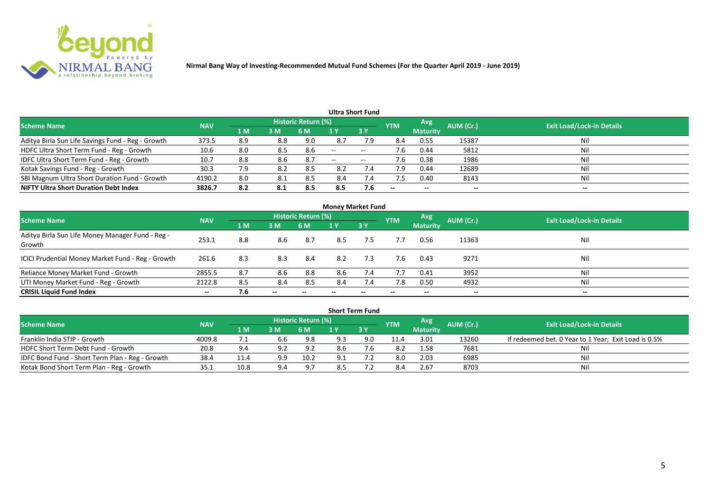

|                                                   |            |                |     |                            |                          | <b>Ultra Short Fund</b>  |            |                          |           |                                  |
|---------------------------------------------------|------------|----------------|-----|----------------------------|--------------------------|--------------------------|------------|--------------------------|-----------|----------------------------------|
| <b>Scheme Name</b>                                | <b>NAV</b> |                |     | <b>Historic Return (%)</b> |                          |                          | <b>YTM</b> | Avg                      | AUM (Cr.) | <b>Exit Load/Lock-in Details</b> |
|                                                   |            | 1 <sub>M</sub> | 3 M | 6 M                        |                          | 3Y                       |            | <b>Maturity</b>          |           |                                  |
| Aditya Birla Sun Life Savings Fund - Reg - Growth | 373.5      | 8.9            | 8.8 | 9.0                        | 8.7                      | 7.9                      | 8.4        | 0.55                     | 15387     | Nil                              |
| HDFC Ultra Short Term Fund - Reg - Growth         | 10.6       | 8.0            | 8.5 | 8.6                        | $\overline{\phantom{a}}$ | $\overline{\phantom{a}}$ | 7.6        | 0.44                     | 5812      | Nil                              |
| IDFC Ultra Short Term Fund - Reg - Growth         | 10.7       | 8.8            | 8.6 | -8.7                       | $- -$                    | $\overline{\phantom{a}}$ | 7.6        | 0.38                     | 1986      | Nil                              |
| Kotak Savings Fund - Reg - Growth                 | 30.3       | 7.9            | 8.2 | 8.5                        | 8.2                      | 7.4                      | 7.9        | 0.44                     | 12689     | Nil                              |
| SBI Magnum Ultra Short Duration Fund - Growth     | 4190.2     | 8.0            | 8.1 | 8.5                        | 8.4                      | 7.4                      | 7.5        | 0.40                     | 8143      | Nil                              |
| <b>NIFTY Ultra Short Duration Debt Index</b>      | 3826.7     | 8.2            | 8.1 | 8.5                        | 8.5                      | 7.6                      | $- -$      | $\overline{\phantom{a}}$ | --        | $- -$                            |

| <b>Money Market Fund</b>                                   |            |     |       |                     |     |           |            |                 |                          |                                  |  |  |  |
|------------------------------------------------------------|------------|-----|-------|---------------------|-----|-----------|------------|-----------------|--------------------------|----------------------------------|--|--|--|
| <b>Scheme Name</b>                                         | <b>NAV</b> |     |       | Historic Return (%) |     |           | <b>YTM</b> | <b>Avg.</b>     | AUM (Cr.)                | <b>Exit Load/Lock-in Details</b> |  |  |  |
|                                                            |            | 1 M | 3 M   | 6 M                 | 1 Y | <b>3Y</b> |            | <b>Maturity</b> |                          |                                  |  |  |  |
| Aditya Birla Sun Life Money Manager Fund - Reg -<br>Growth | 253.1      | 8.8 | 8.6   | 8.7                 | 8.5 | 7.5       | 7.7        | 0.56            | 11363                    | Nil                              |  |  |  |
| ICICI Prudential Money Market Fund - Reg - Growth          | 261.6      | 8.3 | 8.3   | -8.4                | 8.2 | 7.3       | 7.6        | 0.43            | 9271                     | Nil                              |  |  |  |
| Reliance Money Market Fund - Growth                        | 2855.5     | 8.7 | 8.6   | 8.8                 | 8.6 | 7.4       | 7.7        | 0.41            | 3952                     | Nil                              |  |  |  |
| UTI Money Market Fund - Reg - Growth                       | 2122.8     | 8.5 | 8.4   | 8.5                 | 8.4 | 7.4       | 7.8        | 0.50            | 4932                     | Nil                              |  |  |  |
| <b>CRISIL Liquid Fund Index</b>                            | $- -$      | 7.6 | $- -$ |                     |     | --        |            | $- -$           | $\overline{\phantom{a}}$ | $\hspace{0.05cm} \cdots$         |  |  |  |

|                                                 |            |             |     |                            |     | <b>Short Term Fund</b> |            |                 |           |                                                      |
|-------------------------------------------------|------------|-------------|-----|----------------------------|-----|------------------------|------------|-----------------|-----------|------------------------------------------------------|
| <b>Scheme Name</b>                              | <b>NAV</b> |             |     | <b>Historic Return (%)</b> |     |                        | <b>YTM</b> | <b>Avg</b>      | AUM (Cr.) | <b>Exit Load/Lock-in Details</b>                     |
|                                                 |            | <b>4 MZ</b> | 3M  | '6 M                       |     | 73 Y                   |            | <b>Maturity</b> |           |                                                      |
| Franklin India STIP - Growth                    | 4009.8     |             | 6.6 | 9.8                        | 9.3 | 9.0                    | 11.4       | 3.01            | 13260     | If redeemed bet. 0 Year to 1 Year; Exit Load is 0.5% |
| HDFC Short Term Debt Fund - Growth              | 20.8       | 9.4         | 9.2 | 9.2                        | 8.6 |                        | 8.2        | 1.58            | 7681      | Ni                                                   |
| IDFC Bond Fund - Short Term Plan - Reg - Growth | 38.4       | 11.4        | 9.9 | 10.2                       |     |                        | 8.0        | 2.03            | 6985      | Nil                                                  |
| Kotak Bond Short Term Plan - Reg - Growth       | 35.1       | 10.8        | 9.4 | 9.7                        |     |                        |            | 2.67            | 8703      | Nil                                                  |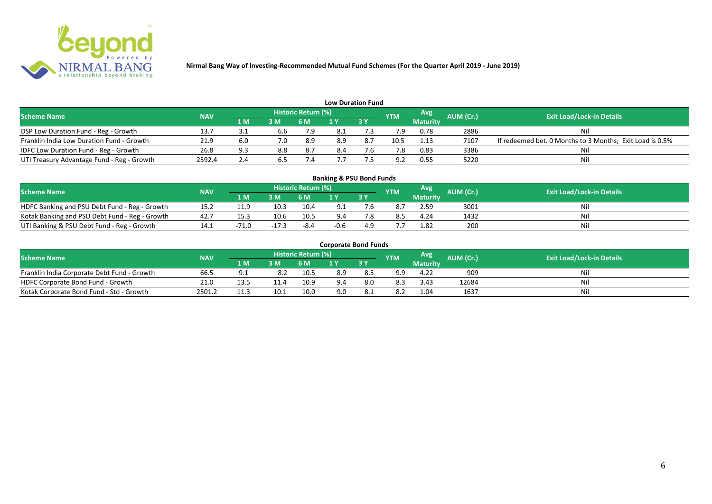

| <b>Low Duration Fund</b>                   |            |      |                |                     |     |      |            |                 |           |                                                          |  |  |  |  |
|--------------------------------------------|------------|------|----------------|---------------------|-----|------|------------|-----------------|-----------|----------------------------------------------------------|--|--|--|--|
| <b>Scheme Name</b>                         | <b>NAV</b> |      |                | Historic Return (%) |     |      | <b>YTM</b> | <b>Avg</b>      | AUM (Cr.) | <b>Exit Load/Lock-in Details</b>                         |  |  |  |  |
|                                            |            | '1 M | 3 <sub>N</sub> | 6 M                 |     | 73 Y |            | <b>Maturity</b> |           |                                                          |  |  |  |  |
| DSP Low Duration Fund - Reg - Growth       | 13.7       |      | 6.6            | 7.9                 |     |      | 7.9        | 0.78            | 2886      | Nil                                                      |  |  |  |  |
| Franklin India Low Duration Fund - Growth  | 21.9       | 6.0  | 7.0            | 8.9                 | 8.9 | 8.7  | 10.5       | 1.13            | 7107      | If redeemed bet. 0 Months to 3 Months; Exit Load is 0.5% |  |  |  |  |
| IDFC Low Duration Fund - Reg - Growth      | 26.8       | د ۵  | 8.8            | 8.7                 |     |      |            | 0.83            | 3386      | Nil                                                      |  |  |  |  |
| UTI Treasury Advantage Fund - Reg - Growth | 2592.4     | 2.4  |                |                     |     |      | <b>Q</b> 2 | 0.55            | 5220      | Nil                                                      |  |  |  |  |

# **Banking & PSU Bond Funds**

| Scheme Name                                    | <b>NAV</b> |           |      | <b>Historic Return (%)</b> |      |    | <b>YTM</b> | Avg             | <b>AUM</b> (Cr.) | <b>Exit Load/Lock-in Details</b> |
|------------------------------------------------|------------|-----------|------|----------------------------|------|----|------------|-----------------|------------------|----------------------------------|
|                                                |            | 1 M.      | 3M   | 6 M                        | i v  | 3Y |            | <b>Maturity</b> |                  |                                  |
| HDFC Banking and PSU Debt Fund - Reg - Growth  | 15.2       | 11 Q      | 10.3 | 10.4                       |      |    |            | 2.59            | 3001             |                                  |
| Kotak Banking and PSU Debt Fund - Reg - Growth | 42.7       | 15.3      | 10.6 | 10.5                       | 9.4  |    |            | 4.24            | 1432             |                                  |
| UTI Banking & PSU Debt Fund - Reg - Growth     |            | 7 . L . L |      | -8.4                       | -0.b |    |            | 1.82            | 200              |                                  |

#### **Corporate Bond Funds**

| <b>Scheme Name</b>                          | <b>NAV</b> |      |      | <b>Historic Return (%)</b> |     |     | <b>YTM</b> | Avg             | AUM (Cr.) | <b>Exit Load/Lock-in Details</b> |
|---------------------------------------------|------------|------|------|----------------------------|-----|-----|------------|-----------------|-----------|----------------------------------|
|                                             |            | 1 M  | в м  |                            |     | 3Y  |            | <b>Maturity</b> |           |                                  |
| Franklin India Corporate Debt Fund - Growth | 66.        |      | 8.2  | 10.5                       | 8.9 |     | a a        | 4.22            | 909       | Nil                              |
| HDFC Corporate Bond Fund - Growth           | 21.0       | י ג  |      | 10.9                       |     | 8.0 | 8.3        | 3.43            | 12684     | Nil                              |
| Kotak Corporate Bond Fund - Std - Growth    | 2501.2     | 11.7 | 10.1 | 10.0                       | 9.0 |     | 8.2        | 1.04            | 1637      | Nil                              |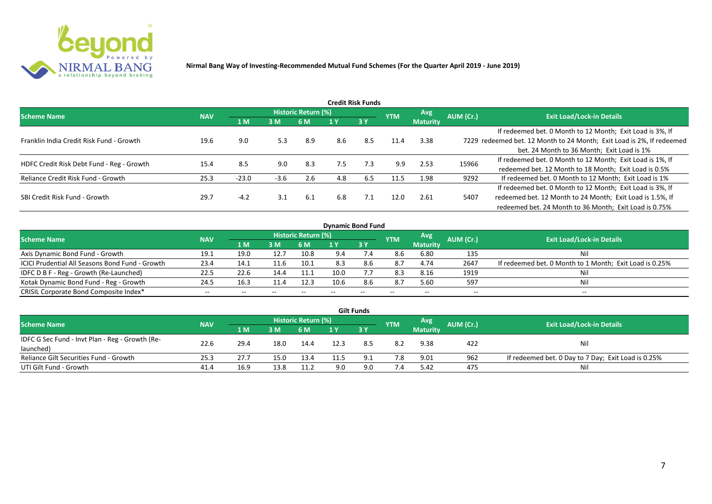

| Credit Risk Funds                         |            |         |        |                     |     |     |            |                 |           |                                                                       |  |  |  |
|-------------------------------------------|------------|---------|--------|---------------------|-----|-----|------------|-----------------|-----------|-----------------------------------------------------------------------|--|--|--|
| <b>Scheme Name</b>                        | <b>NAV</b> |         |        | Historic Return (%) |     |     | <b>YTM</b> | Avg.            | AUM (Cr.) | <b>Exit Load/Lock-in Details</b>                                      |  |  |  |
|                                           |            | 1 M     | 3 M    | 6 M                 | 1 Y | 3Y  |            | <b>Maturity</b> |           |                                                                       |  |  |  |
|                                           |            |         |        |                     |     |     |            |                 |           | If redeemed bet. 0 Month to 12 Month; Exit Load is 3%, If             |  |  |  |
| Franklin India Credit Risk Fund - Growth  | 19.6       | 9.0     | 5.3    | 8.9                 | 8.6 | 8.5 | 11.4       | 3.38            |           | 7229 redeemed bet. 12 Month to 24 Month; Exit Load is 2%, If redeemed |  |  |  |
|                                           |            |         |        |                     |     |     |            |                 |           | bet. 24 Month to 36 Month; Exit Load is 1%                            |  |  |  |
| HDFC Credit Risk Debt Fund - Reg - Growth | 15.4       | 8.5     | 9.0    | 8.3                 | 7.5 | 7.3 | 9.9        | 2.53            | 15966     | If redeemed bet. 0 Month to 12 Month; Exit Load is 1%, If             |  |  |  |
|                                           |            |         |        |                     |     |     |            |                 |           | redeemed bet. 12 Month to 18 Month; Exit Load is 0.5%                 |  |  |  |
| Reliance Credit Risk Fund - Growth        | 25.3       | $-23.0$ | $-3.6$ | 2.6                 | 4.8 | 6.5 | 11.5       | 1.98            | 9292      | If redeemed bet. 0 Month to 12 Month; Exit Load is 1%                 |  |  |  |
|                                           |            |         |        |                     |     |     |            |                 |           | If redeemed bet. 0 Month to 12 Month; Exit Load is 3%, If             |  |  |  |
| SBI Credit Risk Fund - Growth             | 29.7       | $-4.2$  | 3.1    | 6.1                 | 6.8 | 7.1 | 12.0       | 2.61            | 5407      | redeemed bet. 12 Month to 24 Month; Exit Load is 1.5%, If             |  |  |  |
|                                           |            |         |        |                     |     |     |            |                 |           | redeemed bet. 24 Month to 36 Month; Exit Load is 0.75%                |  |  |  |

| <b>Dynamic Bond Fund</b>                        |            |      |       |                            |                 |            |            |                 |           |                                                         |  |  |  |  |
|-------------------------------------------------|------------|------|-------|----------------------------|-----------------|------------|------------|-----------------|-----------|---------------------------------------------------------|--|--|--|--|
| <b>Scheme Name</b>                              | <b>NAV</b> |      |       | <b>Historic Return (%)</b> |                 |            | <b>YTM</b> | Avg             | AUM (Cr.) | <b>Exit Load/Lock-in Details</b>                        |  |  |  |  |
|                                                 |            | 1 M  | 3M    | 6 M                        |                 | 3Y         |            | <b>Maturity</b> |           |                                                         |  |  |  |  |
| Axis Dynamic Bond Fund - Growth                 | 19.1       | 19.0 | 12.7  | 10.8                       | 9.4             | $\angle 4$ | 8.6        | 6.80            | 135       | Nil                                                     |  |  |  |  |
| ICICI Prudential All Seasons Bond Fund - Growth | 23.4       | 14.1 | 11.6  | 10.1                       | 8.3             |            | 8.7        | 4.74            | 2647      | If redeemed bet. 0 Month to 1 Month; Exit Load is 0.25% |  |  |  |  |
| IDFC D B F - Reg - Growth (Re-Launched)         | 22.5       | 22.6 | 14.4  | 11.1                       | 10 <sub>c</sub> |            | 8.3        | 8.16            | 1919      | Nil                                                     |  |  |  |  |
| Kotak Dynamic Bond Fund - Reg - Growth          | 24.5       | 16.3 | 11.4  | 12.3                       | 10.6            | 8.6        | 8.7        | 5.60            | 597       | Nil                                                     |  |  |  |  |
| CRISIL Corporate Bond Composite Index*          | $- -$      |      | $- -$ |                            |                 | $- -$      | $- -$      | --              | --        | $- -$                                                   |  |  |  |  |

|                                                 |            |                                                       |      |      |      | <b>Gilt Funds</b> |     |                 |                                  |                                                     |
|-------------------------------------------------|------------|-------------------------------------------------------|------|------|------|-------------------|-----|-----------------|----------------------------------|-----------------------------------------------------|
| <b>Scheme Name</b>                              | <b>NAV</b> | Historic Return (%)<br>Avg<br>AUM (Cr.)<br><b>YTM</b> |      |      |      |                   |     |                 | <b>Exit Load/Lock-in Details</b> |                                                     |
|                                                 |            | 1 M                                                   | 3 M  | 6 M. | 1 Y  | 73 Y              |     | <b>Maturity</b> |                                  |                                                     |
| IDFC G Sec Fund - Invt Plan - Reg - Growth (Re- | 22.6       | 29.4                                                  | 18.0 | 14.4 | 12.3 |                   | 8.2 | 9.38            | 422                              | Nil                                                 |
| launched)                                       |            |                                                       |      |      |      |                   |     |                 |                                  |                                                     |
| Reliance Gilt Securities Fund - Growth          | 25.3       | 27.7                                                  | 15.0 | 13.4 |      |                   | 7.8 | 9.01            | 962                              | If redeemed bet. 0 Day to 7 Day; Exit Load is 0.25% |
| UTI Gilt Fund - Growth                          | 41.4       | 16.9                                                  | 13.8 | 11.2 | 9.0  | 9.0               | 7.4 | 5.42            | 475                              | Nil                                                 |